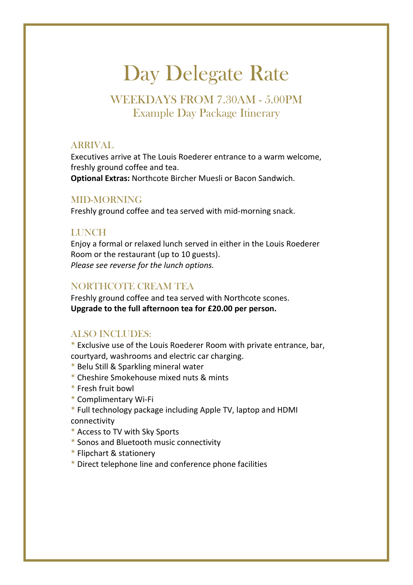# Day Delegate Rate

## WEEKDAYS FROM 7.30AM - 5.00PM Example Day Package Itinerary

### ARRIVAL

Executives arrive at The Louis Roederer entrance to a warm welcome, freshly ground coffee and tea. **Optional Extras:** Northcote Bircher Muesli or Bacon Sandwich.

### MID-MORNING

Freshly ground coffee and tea served with mid-morning snack.

### **LUNCH**

Enjoy a formal or relaxed lunch served in either in the Louis Roederer Room or the restaurant (up to 10 guests). *Please see reverse for the lunch options.*

### NORTHCOTE CREAM TEA

Freshly ground coffee and tea served with Northcote scones. **Upgrade to the full afternoon tea for £20.00 per person.**

### ALSO INCLUDES:

\* Exclusive use of the Louis Roederer Room with private entrance, bar, courtyard, washrooms and electric car charging.

- \* Belu Still & Sparkling mineral water
- \* Cheshire Smokehouse mixed nuts & mints
- \* Fresh fruit bowl
- \* Complimentary Wi-Fi
- \* Full technology package including Apple TV, laptop and HDMI connectivity
- \* Access to TV with Sky Sports
- \* Sonos and Bluetooth music connectivity
- \* Flipchart & stationery
- \* Direct telephone line and conference phone facilities